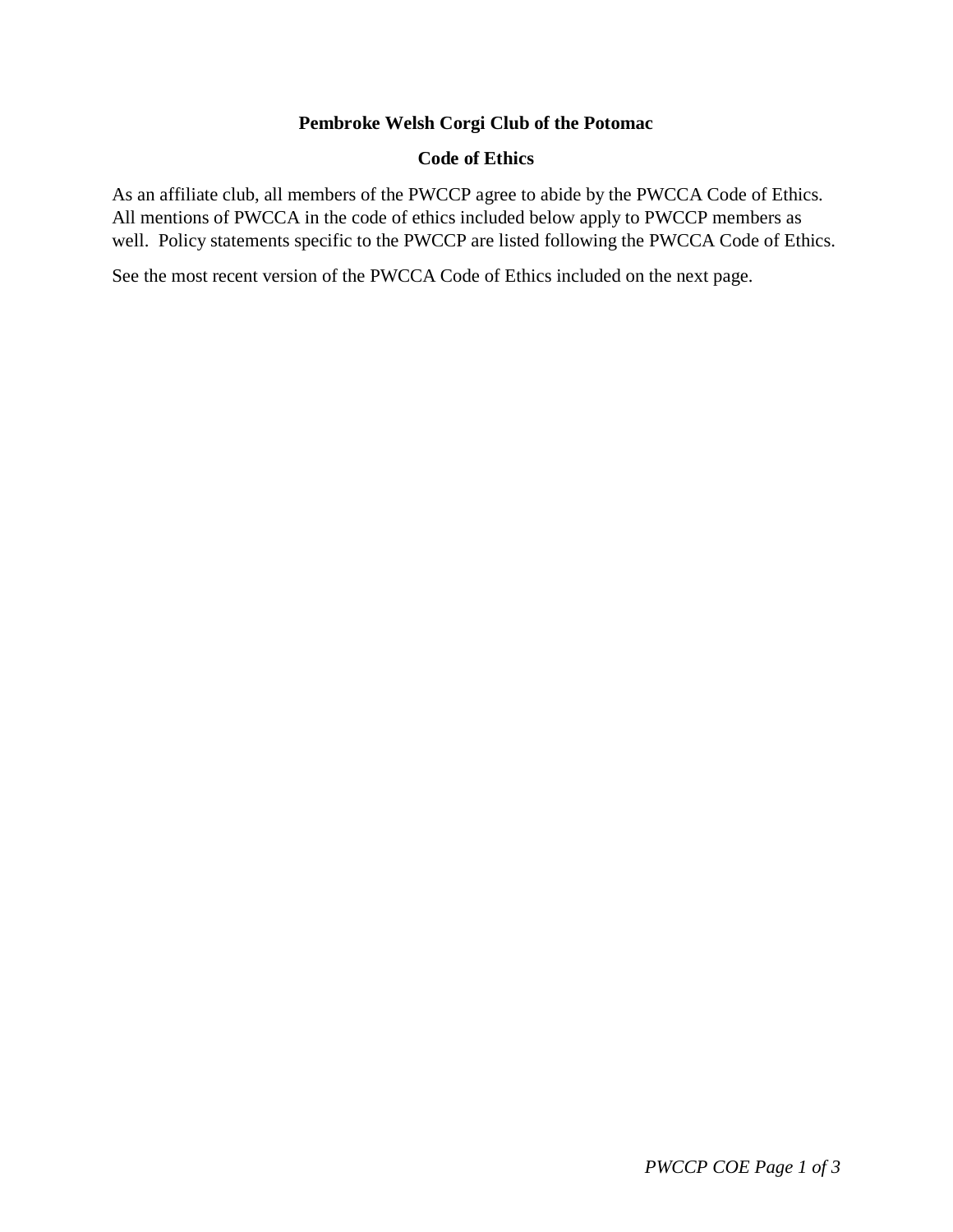# **Pembroke Welsh Corgi Club of the Potomac**

### **Code of Ethics**

As an affiliate club, all members of the PWCCP agree to abide by the PWCCA Code of Ethics. All mentions of PWCCA in the code of ethics included below apply to PWCCP members as well. Policy statements specific to the PWCCP are listed following the PWCCA Code of Ethics.

See the most recent version of the PWCCA Code of Ethics included on the next page.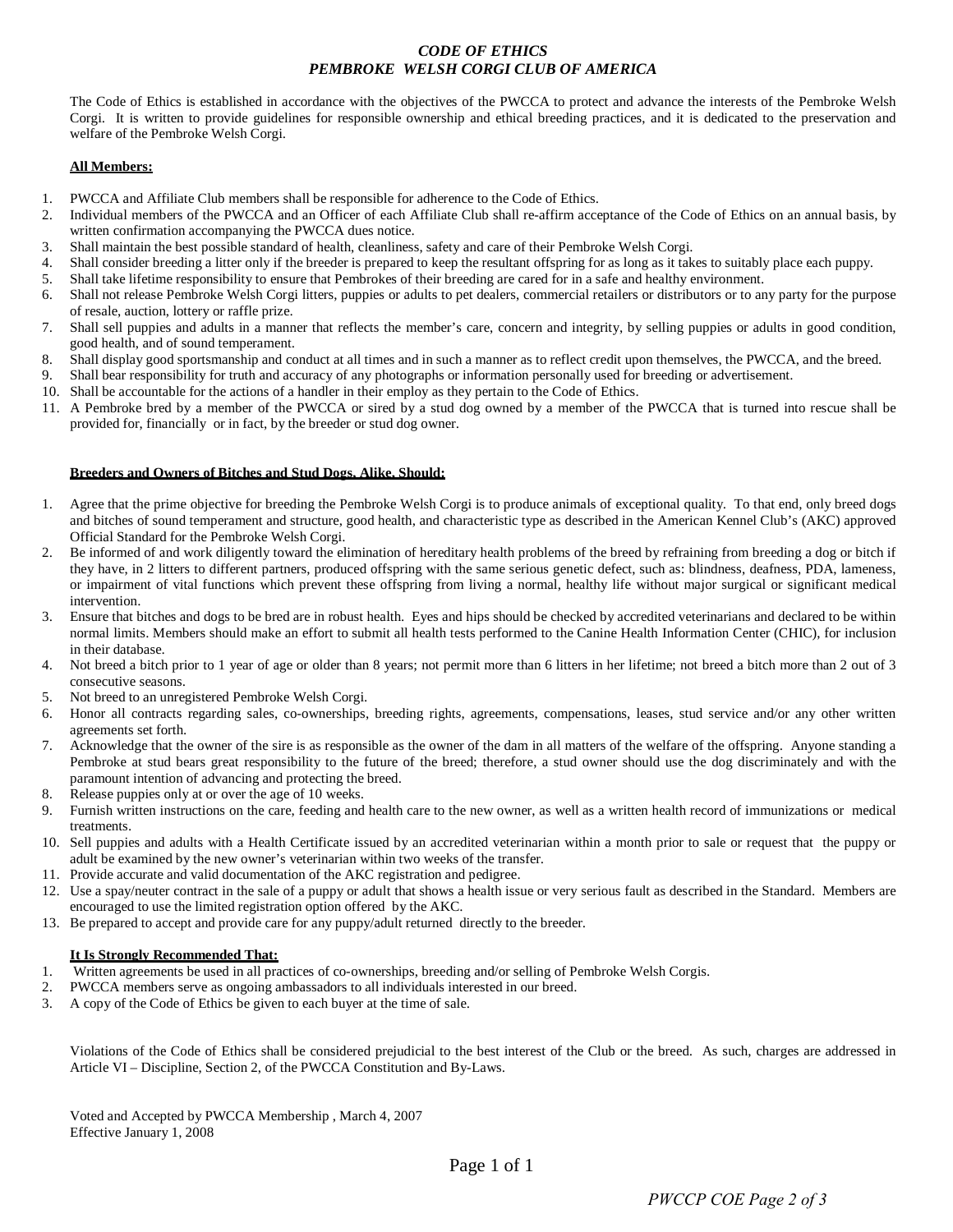### *CODE OF ETHICS PEMBROKE WELSH CORGI CLUB OF AMERICA*

The Code of Ethics is established in accordance with the objectives of the PWCCA to protect and advance the interests of the Pembroke Welsh Corgi. It is written to provide guidelines for responsible ownership and ethical breeding practices, and it is dedicated to the preservation and welfare of the Pembroke Welsh Corgi.

#### **All Members:**

- 1. PWCCA and Affiliate Club members shall be responsible for adherence to the Code of Ethics.
- 2. Individual members of the PWCCA and an Officer of each Affiliate Club shall re-affirm acceptance of the Code of Ethics on an annual basis, by written confirmation accompanying the PWCCA dues notice.
- 3. Shall maintain the best possible standard of health, cleanliness, safety and care of their Pembroke Welsh Corgi.
- 4. Shall consider breeding a litter only if the breeder is prepared to keep the resultant offspring for as long as it takes to suitably place each puppy.
- 5. Shall take lifetime responsibility to ensure that Pembrokes of their breeding are cared for in a safe and healthy environment.
- 6. Shall not release Pembroke Welsh Corgi litters, puppies or adults to pet dealers, commercial retailers or distributors or to any party for the purpose of resale, auction, lottery or raffle prize.
- 7. Shall sell puppies and adults in a manner that reflects the member's care, concern and integrity, by selling puppies or adults in good condition, good health, and of sound temperament.
- 8. Shall display good sportsmanship and conduct at all times and in such a manner as to reflect credit upon themselves, the PWCCA, and the breed.
- 9. Shall bear responsibility for truth and accuracy of any photographs or information personally used for breeding or advertisement.
- 10. Shall be accountable for the actions of a handler in their employ as they pertain to the Code of Ethics.
- 11. A Pembroke bred by a member of the PWCCA or sired by a stud dog owned by a member of the PWCCA that is turned into rescue shall be provided for, financially or in fact, by the breeder or stud dog owner.

#### **Breeders and Owners of Bitches and Stud Dogs, Alike, Should:**

- 1. Agree that the prime objective for breeding the Pembroke Welsh Corgi is to produce animals of exceptional quality. To that end, only breed dogs and bitches of sound temperament and structure, good health, and characteristic type as described in the American Kennel Club's (AKC) approved Official Standard for the Pembroke Welsh Corgi.
- 2. Be informed of and work diligently toward the elimination of hereditary health problems of the breed by refraining from breeding a dog or bitch if they have, in 2 litters to different partners, produced offspring with the same serious genetic defect, such as: blindness, deafness, PDA, lameness, or impairment of vital functions which prevent these offspring from living a normal, healthy life without major surgical or significant medical intervention.
- 3. Ensure that bitches and dogs to be bred are in robust health. Eyes and hips should be checked by accredited veterinarians and declared to be within normal limits. Members should make an effort to submit all health tests performed to the Canine Health Information Center (CHIC), for inclusion in their database.
- 4. Not breed a bitch prior to 1 year of age or older than 8 years; not permit more than 6 litters in her lifetime; not breed a bitch more than 2 out of 3 consecutive seasons.
- 5. Not breed to an unregistered Pembroke Welsh Corgi.
- 6. Honor all contracts regarding sales, co-ownerships, breeding rights, agreements, compensations, leases, stud service and/or any other written agreements set forth.
- 7. Acknowledge that the owner of the sire is as responsible as the owner of the dam in all matters of the welfare of the offspring. Anyone standing a Pembroke at stud bears great responsibility to the future of the breed; therefore, a stud owner should use the dog discriminately and with the paramount intention of advancing and protecting the breed.
- 8. Release puppies only at or over the age of 10 weeks.
- 9. Furnish written instructions on the care, feeding and health care to the new owner, as well as a written health record of immunizations or medical treatments.
- 10. Sell puppies and adults with a Health Certificate issued by an accredited veterinarian within a month prior to sale or request that the puppy or adult be examined by the new owner's veterinarian within two weeks of the transfer.
- 11. Provide accurate and valid documentation of the AKC registration and pedigree.
- 12. Use a spay/neuter contract in the sale of a puppy or adult that shows a health issue or very serious fault as described in the Standard. Members are encouraged to use the limited registration option offered by the AKC.
- 13. Be prepared to accept and provide care for any puppy/adult returned directly to the breeder.

#### **It Is Strongly Recommended That:**

- 1. Written agreements be used in all practices of co-ownerships, breeding and/or selling of Pembroke Welsh Corgis.
- 2. PWCCA members serve as ongoing ambassadors to all individuals interested in our breed.
- 3. A copy of the Code of Ethics be given to each buyer at the time of sale.

Violations of the Code of Ethics shall be considered prejudicial to the best interest of the Club or the breed. As such, charges are addressed in Article VI – Discipline, Section 2, of the PWCCA Constitution and By-Laws.

Voted and Accepted by PWCCA Membership , March 4, 2007 Effective January 1, 2008

Page 1 of 1